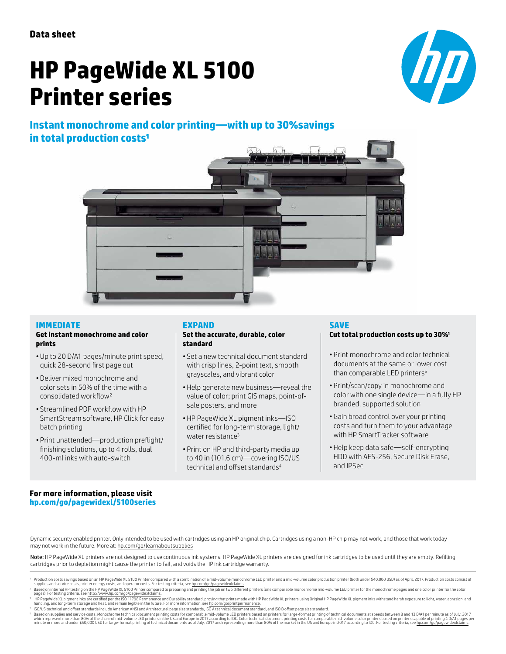# **HP PageWide XL 5100 Printer series**







#### **IMMEDIATE Get instant monochrome and color**

# **prints**

- Up to 20 D/A1 pages/minute print speed, quick 28-second first page out
- Deliver mixed monochrome and color sets in 50% of the time with a consolidated workflow²
- Streamlined PDF workflow with HP SmartStream software, HP Click for easy batch printing
- Print unattended—production preflight/ finishing solutions, up to 4 rolls, dual 400-ml inks with auto-switch

#### **EXPAND**

#### **Set the accurate, durable, color standard**

- Set a new technical document standard with crisp lines, 2-point text, smooth grayscales, and vibrant color
- Help generate new business—reveal the value of color; print GIS maps, point-ofsale posters, and more
- HP PageWide XL pigment inks—ISO certified for long-term storage, light/ water resistance<sup>3</sup>
- Print on HP and third-party media up to 40 in (101.6 cm)—covering ISO/US technical and offset standards<sup>4</sup>

# **SAVE**

#### **Cut total production costs up to 30%<sup>1</sup>**

- Print monochrome and color technical documents at the same or lower cost than comparable LED printers<sup>5</sup>
- Print/scan/copy in monochrome and color with one single device—in a fully HP branded, supported solution
- Gain broad control over your printing costs and turn them to your advantage with HP SmartTracker software
- Help keep data safe—self-encrypting HDD with AES-256, Secure Disk Erase, and IPSec

#### **For more information, please visit [hp.com/go/pagewidexl/](http://www.hp.com/go/pagewidexl/5000series)5100series**

Dynamic security enabled printer. Only intended to be used with cartridges using an HP original chip. Cartridges using a non-HP chip may not work, and those that work today may not work in the future. More at: [hp.com/go/learnaboutsupplies](http://hp.com/go/learnaboutsupplies)

Note: HP PageWide XL printers are not designed to use continuous ink systems. HP PageWide XL printers are designed for ink cartridges to be used until they are empty. Refilling cartridges prior to depletion might cause the printer to fail, and voids the HP ink cartridge warranty.

<sup>&</sup>lt;sup>1</sup> Production costs savings based on an HP PageWide XL 5100 Printer compared with a combination of a mid-volume monochrome LED printer and a mid-volume color production printer (both under \$40,000 USD) as of April, 2017

pages). For testing criteria, see <u>http://www.hp.com/go/pagewidexlclaims</u>.<br>HP PageWide School and the School 11798 Permanence and Durability standard, proving that prints made with HP PageWide XL printers using Original HP

ISO/US technical and offset standards include American ANSI and Architectural page size standards, ISO A technical document standard, and ISO B offset page size standard.

Based on supplies and service costs. Monochrome technical document printing costs for comparable mid-volume LED printers based on printers for large-format printing of technical documents at speeds between 8 and 13 D/A1 pe